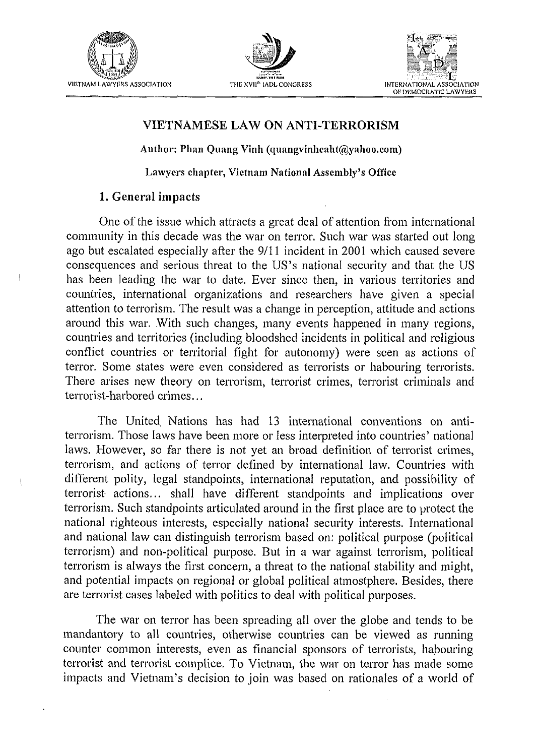

 $\mathfrak{g}$ 





### **VIETNAMESE LAW ON ANTI-TERRORISM**

Author: Phan Quang Vinh (quangvinhcaht@yahoo.com)

**Lawyers chapter, Vietnam National Assembly's Office** 

### **1.** General impacts

One of the issue which attracts a great deal of attention from international community in this decade was the war on terror. Such war was started out long ago but escalated especially after the 911 1 incident in 2001 which caused severe consequences and serious threat to the US'S national security and that the US has been leading the war to date. Ever since then, in various territories and countries, international organizations and researchers have given a special attention to terrorism. The result was a change in perception, attitude and actions around this war. With such changes, many events happened in many regions, countries and territories (including bloodshed incidents in political and religious conflict countries or territorial fight for autonomy) were seen as actions of terror. Some states were even considered as terrorists or habouring terrorists. There arises new theory on terrorism, terrorist crimes, terrorist criminals and terrorist-harbored crimes.. .

The United, Nations has had 13 international conventions on antiterrorism. Those laws have been more or less interpreted into countries' national laws. However, so far there is not yet an broad definition of terrorist crimes, terrorism, and actions of terror defined by international law. Countries with different polity, legal standpoints, international reputation, and possibility of terrorist actions.. . shall have different standpoints and implications over terrorism. Such standpoints articulated around in the first place are to protect the national righteous interests, especially national security interests. International and national law can distinguish terrorism based on: political purpose (political terrorism) and non-political purpose. But in a war against terrorism, political terrorism is always the first concern, a threat to the national stability and might, and potential impacts on regional or global political atmostphere. Besides, there are terrorist cases labeled with politics to deal with political purposes.

The war on terror has been spreading all over the globe and tends to be mandantory to all countries, otherwise countries can be viewed as running counter common interests, even as financial sponsors of terrorists, habouring terrorist and terrorist complice. To Vietnam, the war on terror has made some impacts and Vietnam's decision to join was based on rationales of a world of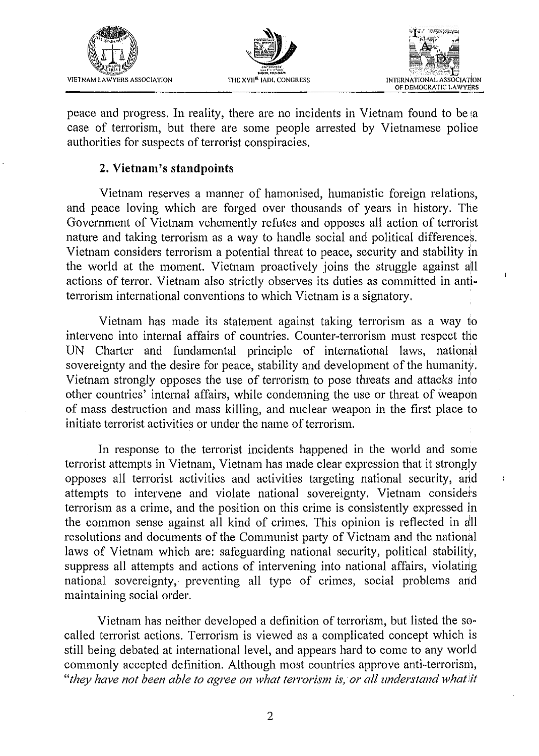





peace and progress. In reality, there are no incidents in Vietnam found to be ia case of terrorism, but there are some people arrested by Vietnamese police authorities for suspects of terrorist conspiracies.

# *2. Vietnam's standpoints*

Vietnam reserves a manner of hamonised, humanistic foreign relations, and peace loving which are forged over thousands of years in history. The Government of Vietnam vehemently refutes and opposes all action of terrorist nature and taking terrorism as a way to handle social and political differences. Vietnam considers terrorism a potential threat to peace, security and stability in the world at the moment. Vietnam proactively joins the struggle against all actions of terror. Vietnam also strictly observes its duties as committed in antiterrorism international conventions to which Vietnam is a signatory.

Vietnam has made its statement against taking terrorism as a way to intervene into internal affairs of countries. Counter-terrorism must respect the UN Charter and fundamental principle of international laws, national sovereignty and the desire for peace, stability and development of the humanity. Vietnam strongly opposes the use of terrorism to pose threats and attacks into other countries' internal affairs, while condemning the use or threat of weapon of mass destruction and mass killing, and nuclear weapon in the first place to initiate terrorist activities or under the name of terrorism.

In response to the terrorist incidents happened in the world and some terrorist attempts in Vietnam, Vietnam has made clear expression that it strongly opposes all terrorist activities and activities targeting national security, and attempts to intervene and violate national sovereignty. Vietnam considers terrorism as a crime, and the position on this crime is consistently expressed in the common sense against all kind of crimes. This opinion is reflected in a'll resolutions and documents of the Communist party of Vietnam and the national laws of Vietnam which are: safeguarding national security, political stability, suppress all attempts and actions of intervening into national affairs, violating national sovereignty, preventing all type of crimes, social problems and maintaining social order.

Vietnam has neither developed a definition of terrorism, but listed the socalled terrorist actions. Terrorism is viewed as a complicated concept which is still being debated at international level, and appears hard to come to any world commonly accepted definition. Although most countries approve anti-terrorism, "*they have not been able to agree on what terrorism is, or all understand what it*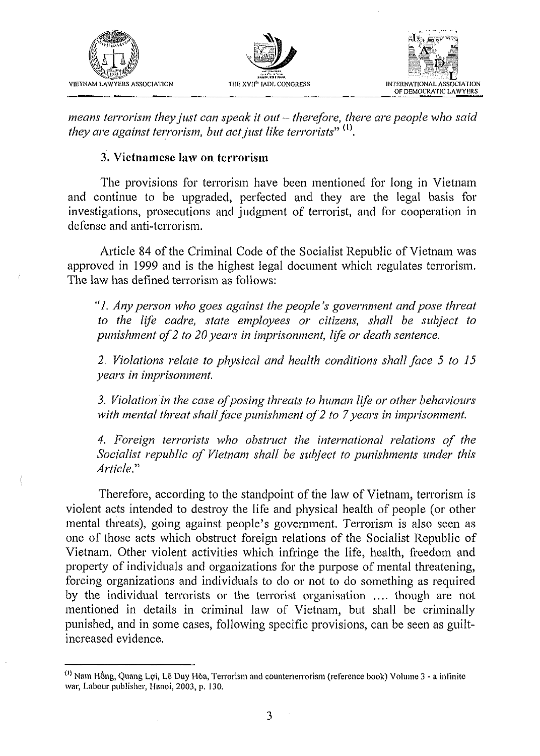





means terrorism they just can speak it out - therefore, there are people who said they are against terrorism, but act just like terrorists"  $<sup>(1)</sup>$ .</sup>

### 3. Vietnamese law on terrorism

The provisions for terrorism have been mentioned for long in Vietnam and continue to be upgraded, perfected and they are the legal basis for investigations, prosecutions and judgment of terrorist, and for cooperation in defense and anti-terrorism.

Article 84 of the Criminal Code of the Socialist Republic of Vietnam was approved in 1999 and is the highest legal document which regulates terrorism. The law has defined terrorism as follows:

"1. Any person who goes against the people's government and pose threat to the life cadre, state employees or citizens, shall be subject to punishment of  $2$  to  $20$  years in imprisonment, life or death sentence.

2. Violations relate to physical and health conditions shall face 5 to 15 years in imprisonment.

3. Violation in the case of posing threats to human life or other behaviours with mental threat shall face punishment of 2 to 7 years in imprisonment.

4. Foreign terrorists who obstruct the international relations of the Socialist republic of Vietnam shall be subject to punishments under this Article."

Therefore, according to the standpoint of the law of Vietnam, terrorism is violent acts intended to destroy the life and physical health of people (or other mental threats), going against people's government. Terrorism is also seen as one of those acts which obstruct foreign relations of the Socialist Republic of Vietnam. Other violent activities which infringe the life, health, freedom and property of individuals and organizations for the purpose of mental threatening, forcing organizations and individuals to do or not to do something as required by the individual terrorists or the terrorist organisation .... though are not mentioned in details in criminal law of Vietnam, but shall be criminally punished, and in some cases, following specific provisions, can be seen as guiltincreased evidence.

 $\cdot$ 

<sup>&</sup>lt;sup>(1)</sup> Nam Hồng, Quang Lợi, Lê Duy Hòa, Terrorism and counterterrorism (reference book) Volume 3 - a infinite war, Labour publisher, Hanoi, 2003, p. 130.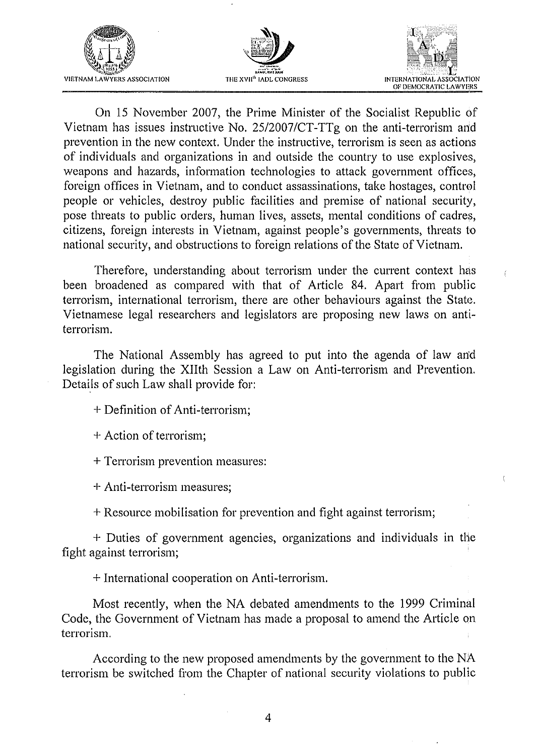





On 15 November 2007, the Prime Minister of the Socialist Republic of Vietnam has issues instructive No. 25/2007/CT-TTg on the anti-terrorism and prevention in the new context. Under the instructive, terrorism is seen as actions of individuals and organizations in and outside the country to use explosives, weapons and hazards, information technologies to attack government offices, foreign offices in Vietnam, and to conduct assassinations, take hostages, control people or vehicles, destroy public facilities and premise of national security, pose threats to public orders, human lives, assets, mental conditions of cadres, citizens, foreign interests in Vietnam, against people's governments, threats to national security, and obstructions to foreign relations of the State of Vietnam.

Therefore, understanding about terrorism under the current context has been broadened as compared with that of Article 84. Apart from public terrorism, international terrorism, there are other behaviours against the State. Vietnamese legal researchers and legislators are proposing new laws on antiterrorism.

The National Assembly has agreed to put into the agenda of law an'd legislation during the XIIth Session a Law on Anti-terrorism and Prevention. Details of such Law shall provide for:

+ Definition of Anti-terrorism;

+ Action of terrorism;

+ Terrorism prevention measures:

+ Anti-terrorism measures:

+ Resource mobilisation for prevention and fight against terrorism;

+ Duties of government agencies, organizations and individuals in tlie fight against terrorism;

+ International cooperation on Anti-terrorism.

Most recently, when the NA debated amendments to the 1999 Criminal Code, the Government of Vietnam has made a proposal to amend the Article on terrorism.

According to the new proposed amendments by the government to the NA terrorism be switched fiom the Chapter of national security violations to public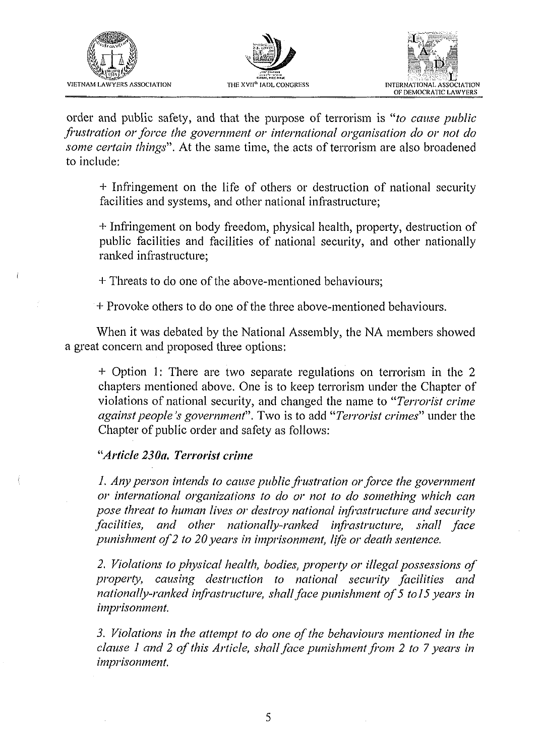





order and public safety, and that the purpose of terrorism is "to cause public frustration or force the government or international organisation do or not do some certain things". At the same time, the acts of terrorism are also broadened to include:

+ Infringement on the life of others or destruction of national security facilities and systems, and other national infrastructure;

+ Infringement on body freedom, physical health, property, destruction of public facilities and facilities of national security, and other nationally ranked infrastructure;

+ Threats to do one of the above-mentioned behaviours;

+ Provoke others to do one of the three above-mentioned behaviours.

When it was debated by the National Assembly, the NA members showed a great concern and proposed three options:

+ Option 1: There are two separate regulations on terrorism in the 2 chapters mentioned above. One is to keep terrorism under the Chapter of violations of national security, and changed the name to "Terrorist crime" against people's government". Two is to add "Terrorist crimes" under the Chapter of public order and safety as follows:

# "Article 230a, Terrorist crime

1. Any person intends to cause public frustration or force the government or international organizations to do or not to do something which can pose threat to human lives or destroy national infrastructure and security facilities. and other nationally-ranked infrastructure, shall face punishment of 2 to 20 years in imprisonment, life or death sentence.

2. Violations to physical health, bodies, property or illegal possessions of property, causing destruction to national security facilities and nationally-ranked infrastructure, shall face punishment of 5 to 15 years in imprisonment.

3. Violations in the attempt to do one of the behaviours mentioned in the clause 1 and 2 of this Article, shall face punishment from 2 to 7 years in imprisonment.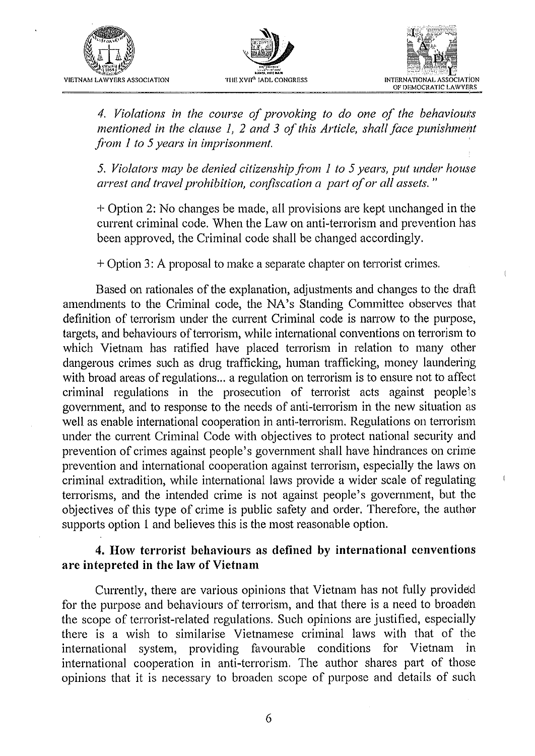





*4. Violations in the course of provoking to do one of the behaviouts mentioned in the clause* 1, *2 and* **3** *of this Article, shall face punishment fiom I to 5 years in imprisonment.* 

*5. Violators may be denied citizenship from 1 to 5 years, put under house arrest and travel prohibition, confiscation a part of or all assets.*"

+ Option 2: No changes be made, all provisions are kept unchanged in the current criminal code. When the Law on anti-terrorism and prevention has been approved, the Criminal code shall be changed accordingly.

+ Option 3: A proposal to make a separate chapter on terrorist crimes.

Based on rationales of the explanation, adjustments and changes to the draft amendments to the Criminal code, the NA's Standing Committee observes hat definition of terrorism under the current Criminal code is narrow to the purpose, targets, and behaviours of terrorism, while international conventions on terrorism to which Vietnam has ratified have placed terrorism in relation to many other dangerous crimes such as drug trafficking, human trafficking, money laundering with broad areas of regulations... a regulation on terrorism is to ensure not to affect criminal regulations in the prosecution of terrorist acts against people's government, and to response to the needs of anti-terrorism in the new situation as well as enable international cooperation in anti-terrorism. Regulations on terrorism under the current Criminal Code with objectives to protect national security and prevention of crimes against people's government shall have hindrances on crime prevention and international cooperation against terrorism, especially the laws on criminal extradition, while international laws provide a wider scale of regulating terrorisms, and the intended crime is not against people's government, but the objectives of this type of crime is public safety and order. Therefore, the author supports option 1 and believes this is the most reasonable option.

# **4.** *How terrorist behaviours as defined by international ccnventions are intepreted in the law of Vietnam*

Currently, there are various opinions that Vietnam has not fully provided for the purpose and behaviours of terrorism, and that there is a need to broaden the scope of tenorist-related regulations. Such opinions are justified, especially there is a wish to similarise Vietnamese criminal laws with that of the international system, providing favourable conditions for Vietnam in international cooperation in anti-terrorism. The author shares part of those opinions that it is necessary to broaden scope of purpose and details of suoh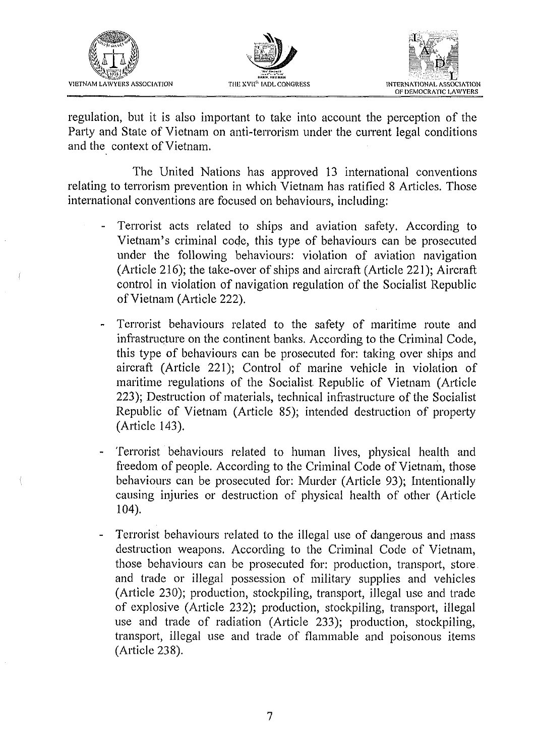![](_page_6_Picture_0.jpeg)

![](_page_6_Picture_1.jpeg)

![](_page_6_Picture_2.jpeg)

regulation, but it is also important to take into account the perception of the Party and State of Vietnam on anti-terrorism under the current legal conditions and the context of Vietnam.

The United Nations has approved 13 international conventions relating to terrorism prevention in which Vietnam has ratified 8 Articles. Those international conventions are focused on behaviours, including:

- Terrorist acts related to ships and aviation safety. According to Vietnam's criminal code, this type of behaviours can be prosecuted under the following behaviours: violation of aviation navigation (Article 216); the take-over of ships and aircraft (Article 221); Aircraft control in violation of navigation regulation of the Socialist Republic of Vietnam (Article 222).
- Terrorist behaviours related to the safety of maritime route and infrastructure on the continent banks. According to the Criminal Code, this type of behaviours can be prosecuted for: taking over ships and aircraft (Article 221); Control of marine vehicle in violation of maritime regulations of the Socialist Republic of Vietnam (Article 223); Destruction of materials, technical infrastructure of the Socialist Republic of Vietnam (Article 85); intended destruction of property (Article 143).
- Terrorist behaviours related to human lives, physical health and freedom of people. According to the Criminal Code of Vietnam, those behaviours can be prosecuted for: Murder (Article 93); Intentionaily causing injuries or destruction of physical health of other (Article 104).
- Terrorist behaviours related to the illegal use of dangerous and mass destruction weapons. According to the Criminal Code of Vietnam, those behaviours can be prosecuted for: production, transport, store. and trade or illegal possession of military supplies and vehicles (Article 230); production, stockpiling, transport, illegal use and trade of explosive (Article 232); production, stockpiling, transport, illegal use and trade of radiation (Article 233); production, stockpiling, transport, illegal use and trade of flammable and poisonous items (Article 238).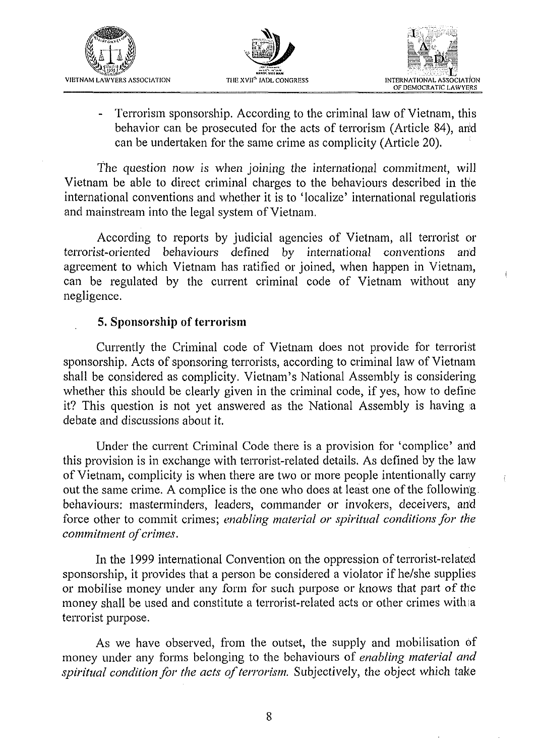![](_page_7_Picture_0.jpeg)

![](_page_7_Picture_1.jpeg)

![](_page_7_Picture_2.jpeg)

Ť

Terrorism sponsorship. According to the criminal law of Vietnam, this behavior can be prosecuted for the acts of terrorism (Article 84), arid can be undertaken for the same crime as complicity (Article 20).

The question now is when joining the international commitment, will Vietnam be able to direct criminal charges to the behaviours described in the international conventions and whether it is to 'localize' international regulatiods and mainstream into the legal system of Vietnam.

According to reports by judicial agencies of Vietnam, all terrorist or terrorist-oriented behaviours defined by international conventions and agreement to which Vietnam has ratified or joined, when happen in Vietnam, can be regulated by the current criminal code of Vietnam without any negligence.

# **5. Sponsorship of terrorism**

Currently the Criminal code of Vietnam does not provide for terrorist sponsorship. Acts of sponsoring terrorists, according to criminal law of Vietnam shall be considered as complicity. Vietnam's National Assembly is considering whether this should be clearly given in the criminal code, if yes, how to define it? This question is not yet answered as the National Assembly is having a debate and discussions about it.

Under the current Criminal Code there is a provision for 'complice' an'd this provision is in exchange with terrorist-related details. As defined by the law of Vietnam, complicity is when there are two or more people intentionally carny out the same crime. A complice is the one who does at least one of the following behaviours: masterminders, leaders, commander or invokers, deceivers, and force other to commit crimes; *enabling material or spiritual conditions for the commitment of crimes.* 

In the 1999 international Convention on the oppression of terrorist-related sponsorship, it provides that a person be considered a violator if he/she supplies or mobilise money under any form for such purpose or knows that part of the money shall be used and constitute a terrorist-related acts or other crimes with a terrorist purpose.

As we have observed, from the outset, the supply and mobilisation of money under any forms belonging to the behaviours of *enabling material and*  spiritual condition for the acts of terrorism. Subjectively, the object which take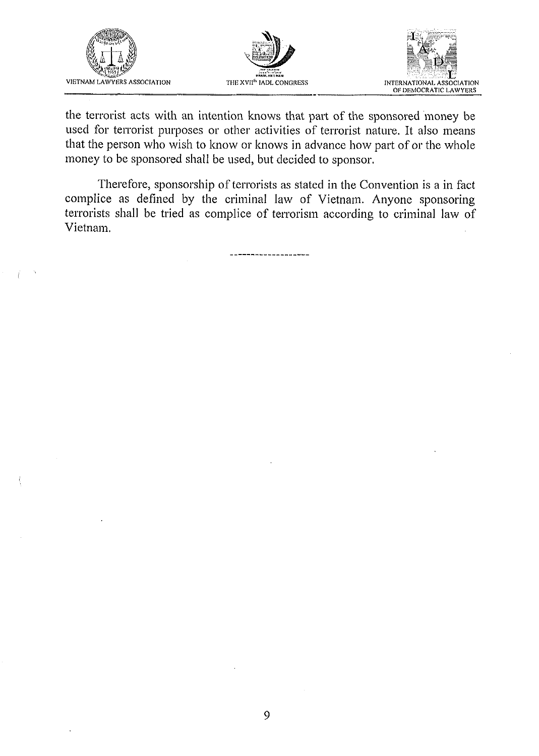![](_page_8_Picture_0.jpeg)

![](_page_8_Picture_1.jpeg)

![](_page_8_Picture_2.jpeg)

the terrorist acts with an intention knows that part of the sponsored money be used for terrorist purposes or other activities of terrorist nature. It also means that the person who wish to know or knows in advance how part of or the whole money to be sponsored shall be used, but decided to sponsor.

Therefore, sponsorship of terrorists as stated in the Convention is a in fact complice as defined by the criminal law of Vietnam. Anyone sponsoring terrorists shall be tried as complice of terrorism according to criminal law of Vietnam.